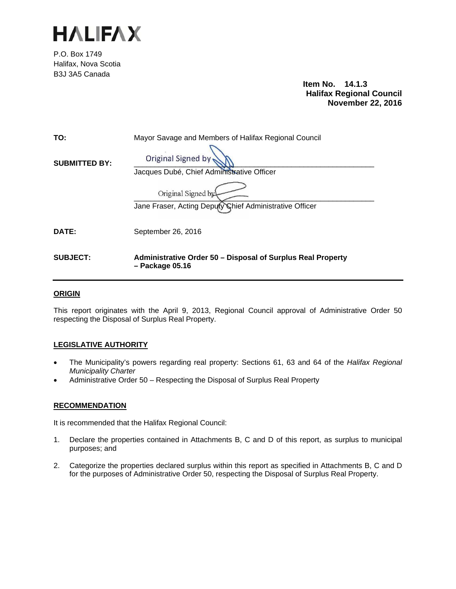

P.O. Box 1749 Halifax, Nova Scotia B3J 3A5 Canada

 **Item No. 14.1.3 Halifax Regional Council November 22, 2016**

| TO:                  | Mayor Savage and Members of Halifax Regional Council                           |
|----------------------|--------------------------------------------------------------------------------|
| <b>SUBMITTED BY:</b> | <b>Original Signed by</b><br>Jacques Dubé, Chief Administrative Officer        |
|                      | Original Signed by<br>Jane Fraser, Acting Deputy Chief Administrative Officer  |
| DATE:                | September 26, 2016                                                             |
| <b>SUBJECT:</b>      | Administrative Order 50 – Disposal of Surplus Real Property<br>- Package 05.16 |

# **ORIGIN**

This report originates with the April 9, 2013, Regional Council approval of Administrative Order 50 respecting the Disposal of Surplus Real Property.

# **LEGISLATIVE AUTHORITY**

- The Municipality's powers regarding real property: Sections 61, 63 and 64 of the *Halifax Regional Municipality Charter*
- Administrative Order 50 Respecting the Disposal of Surplus Real Property

# **RECOMMENDATION**

It is recommended that the Halifax Regional Council:

- 1. Declare the properties contained in Attachments B, C and D of this report, as surplus to municipal purposes; and
- 2. Categorize the properties declared surplus within this report as specified in Attachments B, C and D for the purposes of Administrative Order 50, respecting the Disposal of Surplus Real Property.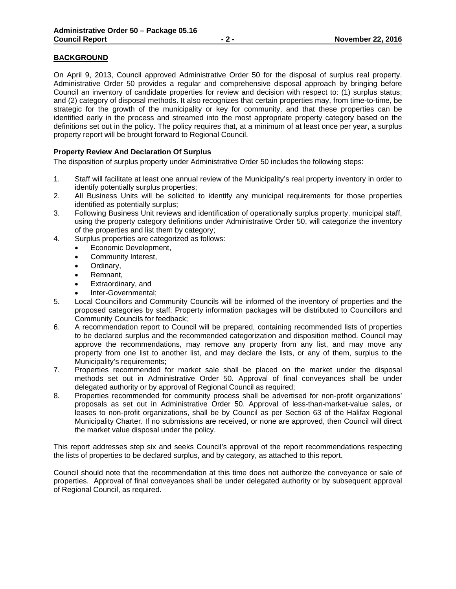# **BACKGROUND**

On April 9, 2013, Council approved Administrative Order 50 for the disposal of surplus real property. Administrative Order 50 provides a regular and comprehensive disposal approach by bringing before Council an inventory of candidate properties for review and decision with respect to: (1) surplus status; and (2) category of disposal methods. It also recognizes that certain properties may, from time-to-time, be strategic for the growth of the municipality or key for community, and that these properties can be identified early in the process and streamed into the most appropriate property category based on the definitions set out in the policy. The policy requires that, at a minimum of at least once per year, a surplus property report will be brought forward to Regional Council.

# **Property Review And Declaration Of Surplus**

The disposition of surplus property under Administrative Order 50 includes the following steps:

- 1. Staff will facilitate at least one annual review of the Municipality's real property inventory in order to identify potentially surplus properties;
- 2. All Business Units will be solicited to identify any municipal requirements for those properties identified as potentially surplus;
- 3. Following Business Unit reviews and identification of operationally surplus property, municipal staff, using the property category definitions under Administrative Order 50, will categorize the inventory of the properties and list them by category;
- 4. Surplus properties are categorized as follows:
	- Economic Development,
	- Community Interest,
	- Ordinary,
	- Remnant,
	- Extraordinary, and
	- Inter-Governmental;
- 5. Local Councillors and Community Councils will be informed of the inventory of properties and the proposed categories by staff. Property information packages will be distributed to Councillors and Community Councils for feedback;
- 6. A recommendation report to Council will be prepared, containing recommended lists of properties to be declared surplus and the recommended categorization and disposition method. Council may approve the recommendations, may remove any property from any list, and may move any property from one list to another list, and may declare the lists, or any of them, surplus to the Municipality's requirements;
- 7. Properties recommended for market sale shall be placed on the market under the disposal methods set out in Administrative Order 50. Approval of final conveyances shall be under delegated authority or by approval of Regional Council as required;
- 8. Properties recommended for community process shall be advertised for non-profit organizations' proposals as set out in Administrative Order 50. Approval of less-than-market-value sales, or leases to non-profit organizations, shall be by Council as per Section 63 of the Halifax Regional Municipality Charter. If no submissions are received, or none are approved, then Council will direct the market value disposal under the policy.

This report addresses step six and seeks Council's approval of the report recommendations respecting the lists of properties to be declared surplus, and by category, as attached to this report.

Council should note that the recommendation at this time does not authorize the conveyance or sale of properties. Approval of final conveyances shall be under delegated authority or by subsequent approval of Regional Council, as required.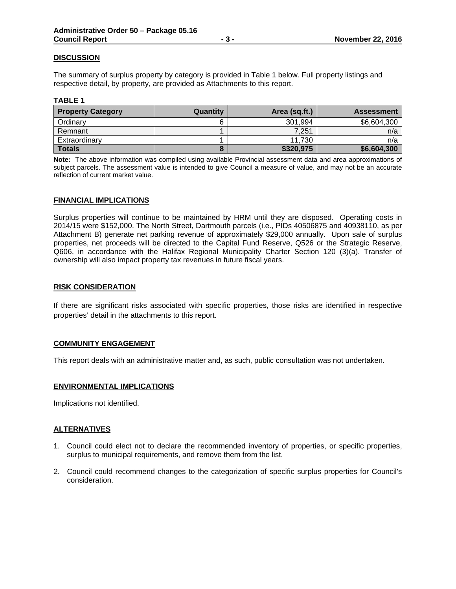# **DISCUSSION**

The summary of surplus property by category is provided in Table 1 below. Full property listings and respective detail, by property, are provided as Attachments to this report.

#### **TABLE 1**

| <b>Property Category</b> | Quantity | Area (sq.ft.) | <b>Assessment</b> |
|--------------------------|----------|---------------|-------------------|
| Ordinary                 |          | 301,994       | \$6,604,300       |
| Remnant                  |          | 7.251         | n/a               |
| Extraordinary            |          | 11,730        | n/a               |
| <b>Totals</b>            |          | \$320,975     | \$6,604,300       |

**Note:** The above information was compiled using available Provincial assessment data and area approximations of subject parcels. The assessment value is intended to give Council a measure of value, and may not be an accurate reflection of current market value.

#### **FINANCIAL IMPLICATIONS**

Surplus properties will continue to be maintained by HRM until they are disposed. Operating costs in 2014/15 were \$152,000. The North Street, Dartmouth parcels (i.e., PIDs 40506875 and 40938110, as per Attachment B) generate net parking revenue of approximately \$29,000 annually. Upon sale of surplus properties, net proceeds will be directed to the Capital Fund Reserve, Q526 or the Strategic Reserve, Q606, in accordance with the Halifax Regional Municipality Charter Section 120 (3)(a). Transfer of ownership will also impact property tax revenues in future fiscal years.

#### **RISK CONSIDERATION**

If there are significant risks associated with specific properties, those risks are identified in respective properties' detail in the attachments to this report.

# **COMMUNITY ENGAGEMENT**

This report deals with an administrative matter and, as such, public consultation was not undertaken.

# **ENVIRONMENTAL IMPLICATIONS**

Implications not identified.

# **ALTERNATIVES**

- 1. Council could elect not to declare the recommended inventory of properties, or specific properties, surplus to municipal requirements, and remove them from the list.
- 2. Council could recommend changes to the categorization of specific surplus properties for Council's consideration.